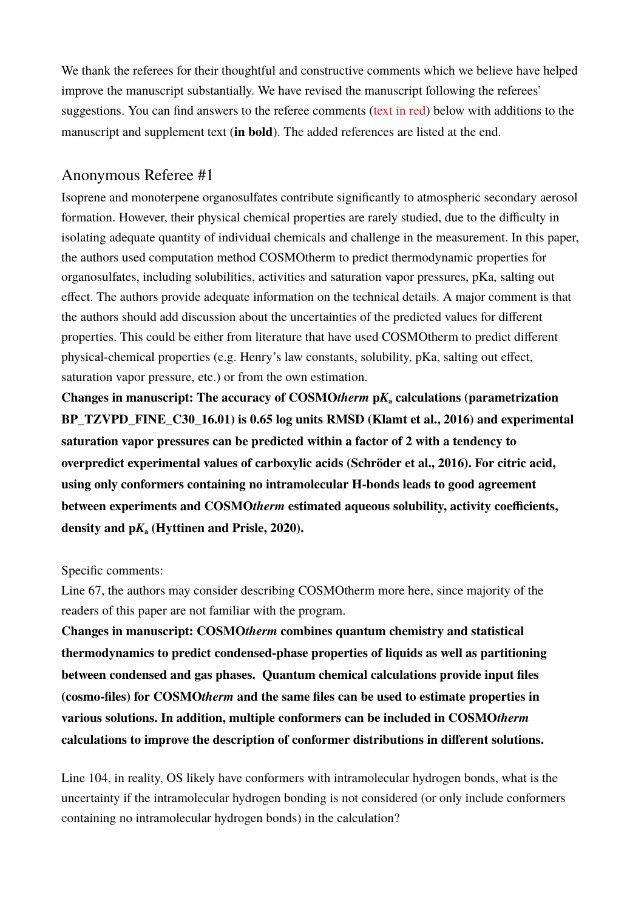We thank the referees for their thoughtful and constructive comments which we believe have helped improve the manuscript substantially. We have revised the manuscript following the referees' suggestions. You can find answers to the referee comments (text in red) below with additions to the manuscript and supplement text (**in bold**). The added references are listed at the end.

## Anonymous Referee #1

Isoprene and monoterpene organosulfates contribute significantly to atmospheric secondary aerosol formation. However, their physical chemical properties are rarely studied, due to the difficulty in isolating adequate quantity of individual chemicals and challenge in the measurement. In this paper, the authors used computation method COSMOtherm to predict thermodynamic properties for organosulfates, including solubilities, activities and saturation vapor pressures, pKa, salting out effect. The authors provide adequate information on the technical details. A major comment is that the authors should add discussion about the uncertainties of the predicted values for different properties. This could be either from literature that have used COSMOtherm to predict different physical-chemical properties (e.g. Henry's law constants, solubility, pKa, salting out effect, saturation vapor pressure, etc.) or from the own estimation.

**Changes in manuscript: The accuracy of COSMO***therm* **p***K***a calculations (parametrization BP\_TZVPD\_FINE\_C30\_16.01) is 0.65 log units RMSD (Klamt et al., 2016) and experimental saturation vapor pressures can be predicted within a factor of 2 with a tendency to overpredict experimental values of carboxylic acids (Schröder et al., 2016). For citric acid, using only conformers containing no intramolecular H-bonds leads to good agreement between experiments and COSMO***therm* **estimated aqueous solubility, activity coefficients, density and p***K***a (Hyttinen and Prisle, 2020).**

### Specific comments:

Line 67, the authors may consider describing COSMOtherm more here, since majority of the readers of this paper are not familiar with the program.

**Changes in manuscript: COSMO***therm* **combines quantum chemistry and statistical thermodynamics to predict condensed-phase properties of liquids as well as partitioning between condensed and gas phases. Quantum chemical calculations provide input files (cosmo-files) for COSMO***therm* **and the same files can be used to estimate properties in various solutions. In addition, multiple conformers can be included in COSMO***therm* **calculations to improve the description of conformer distributions in different solutions.** 

Line 104, in reality, OS likely have conformers with intramolecular hydrogen bonds, what is the uncertainty if the intramolecular hydrogen bonding is not considered (or only include conformers containing no intramolecular hydrogen bonds) in the calculation?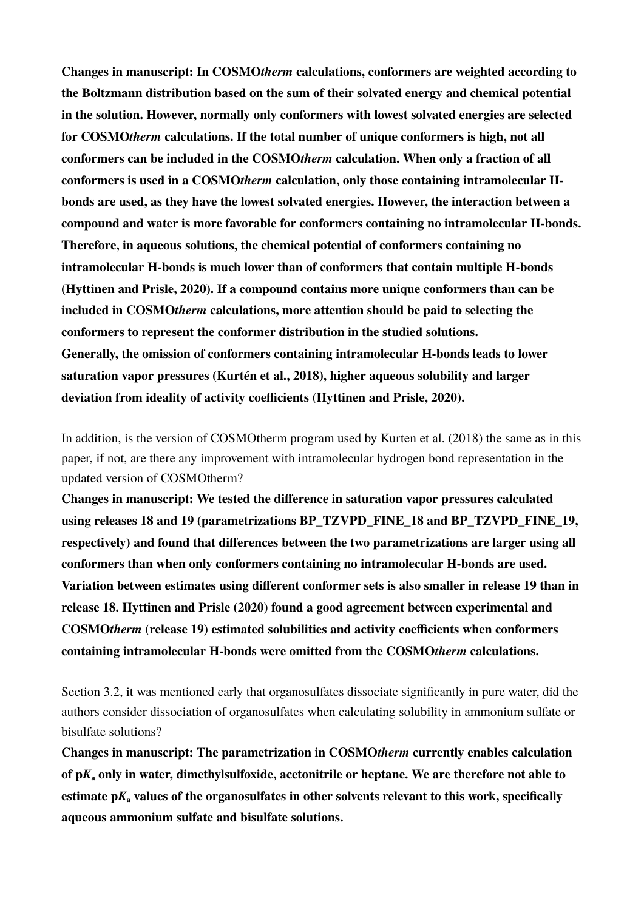**Changes in manuscript: In COSMO***therm* **calculations, conformers are weighted according to the Boltzmann distribution based on the sum of their solvated energy and chemical potential in the solution. However, normally only conformers with lowest solvated energies are selected for COSMO***therm* **calculations. If the total number of unique conformers is high, not all conformers can be included in the COSMO***therm* **calculation. When only a fraction of all conformers is used in a COSMO***therm* **calculation, only those containing intramolecular Hbonds are used, as they have the lowest solvated energies. However, the interaction between a compound and water is more favorable for conformers containing no intramolecular H-bonds. Therefore, in aqueous solutions, the chemical potential of conformers containing no intramolecular H-bonds is much lower than of conformers that contain multiple H-bonds (Hyttinen and Prisle, 2020). If a compound contains more unique conformers than can be included in COSMO***therm* **calculations, more attention should be paid to selecting the conformers to represent the conformer distribution in the studied solutions. Generally, the omission of conformers containing intramolecular H-bonds leads to lower saturation vapor pressures (Kurtén et al., 2018), higher aqueous solubility and larger deviation from ideality of activity coefficients (Hyttinen and Prisle, 2020).**

In addition, is the version of COSMOtherm program used by Kurten et al. (2018) the same as in this paper, if not, are there any improvement with intramolecular hydrogen bond representation in the updated version of COSMOtherm?

**Changes in manuscript: We tested the difference in saturation vapor pressures calculated**  using releases 18 and 19 (parametrizations BP\_TZVPD\_FINE\_18 and BP\_TZVPD\_FINE\_19, **respectively) and found that differences between the two parametrizations are larger using all conformers than when only conformers containing no intramolecular H-bonds are used. Variation between estimates using different conformer sets is also smaller in release 19 than in release 18. Hyttinen and Prisle (2020) found a good agreement between experimental and COSMO***therm* **(release 19) estimated solubilities and activity coefficients when conformers containing intramolecular H-bonds were omitted from the COSMO***therm* **calculations.**

Section 3.2, it was mentioned early that organosulfates dissociate significantly in pure water, did the authors consider dissociation of organosulfates when calculating solubility in ammonium sulfate or bisulfate solutions?

**Changes in manuscript: The parametrization in COSMO***therm* **currently enables calculation of p***K***a only in water, dimethylsulfoxide, acetonitrile or heptane. We are therefore not able to**  estimate  $pK_a$  values of the organosulfates in other solvents relevant to this work, specifically **aqueous ammonium sulfate and bisulfate solutions.**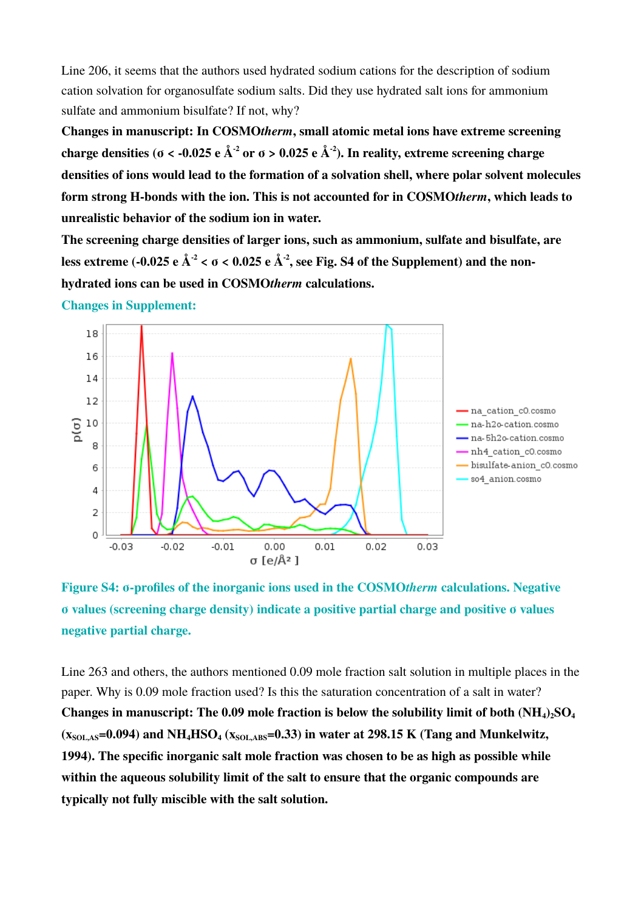Line 206, it seems that the authors used hydrated sodium cations for the description of sodium cation solvation for organosulfate sodium salts. Did they use hydrated salt ions for ammonium sulfate and ammonium bisulfate? If not, why?

**Changes in manuscript: In COSMO***therm***, small atomic metal ions have extreme screening charge densities (** $\sigma$  **< -0.025 e**  $\AA$ **<sup>-2</sup> or**  $\sigma$  **> 0.025 e**  $\AA$ **<sup>-2</sup>). In reality, extreme screening charge densities of ions would lead to the formation of a solvation shell, where polar solvent molecules form strong H-bonds with the ion. This is not accounted for in COSMO***therm***, which leads to unrealistic behavior of the sodium ion in water.**

**The screening charge densities of larger ions, such as ammonium, sulfate and bisulfate, are**  less extreme (-0.025 e  $\AA^2$  <  $\sigma$  < 0.025 e  $\AA^2$ , see Fig. S4 of the Supplement) and the non**hydrated ions can be used in COSMO***therm* **calculations.**

**Changes in Supplement:**



**Figure S4: σ-profiles of the inorganic ions used in the COSMO***therm* **calculations. Negative σ values (screening charge density) indicate a positive partial charge and positive σ values negative partial charge.**

Line 263 and others, the authors mentioned 0.09 mole fraction salt solution in multiple places in the paper. Why is 0.09 mole fraction used? Is this the saturation concentration of a salt in water? **Changes in manuscript: The 0.09 mole fraction is below the solubility limit of both (NH4)2SO<sup>4</sup>**  $(x_{\text{SOL,AS}} = 0.094)$  and NH<sub>4</sub>HSO<sub>4</sub> ( $x_{\text{SOL,ABS}} = 0.33$ ) in water at 298.15 K (Tang and Munkelwitz, **1994). The specific inorganic salt mole fraction was chosen to be as high as possible while within the aqueous solubility limit of the salt to ensure that the organic compounds are typically not fully miscible with the salt solution.**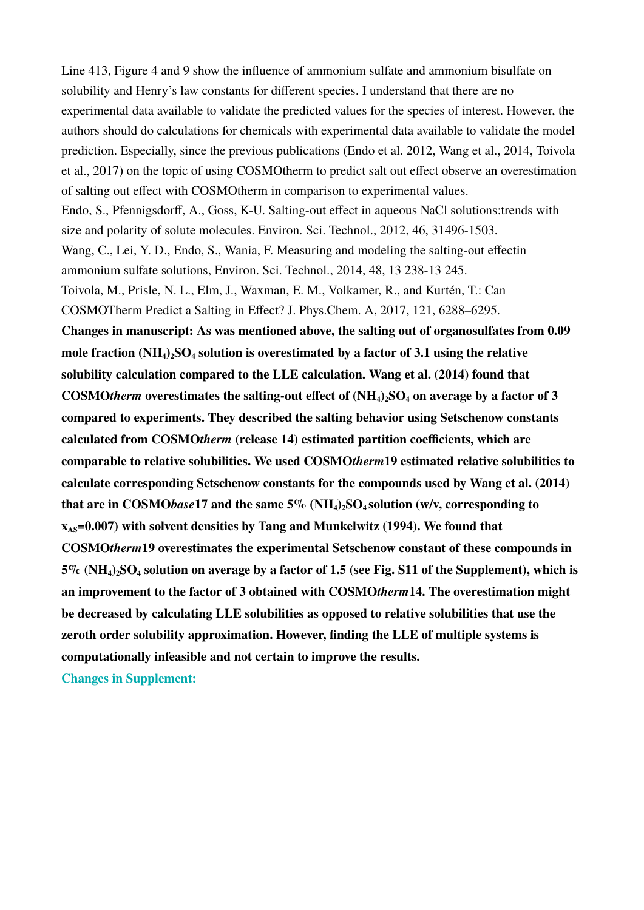Line 413, Figure 4 and 9 show the influence of ammonium sulfate and ammonium bisulfate on solubility and Henry's law constants for different species. I understand that there are no experimental data available to validate the predicted values for the species of interest. However, the authors should do calculations for chemicals with experimental data available to validate the model prediction. Especially, since the previous publications (Endo et al. 2012, Wang et al., 2014, Toivola et al., 2017) on the topic of using COSMOtherm to predict salt out effect observe an overestimation of salting out effect with COSMOtherm in comparison to experimental values. Endo, S., Pfennigsdorff, A., Goss, K-U. Salting-out effect in aqueous NaCl solutions:trends with size and polarity of solute molecules. Environ. Sci. Technol., 2012, 46, 31496-1503. Wang, C., Lei, Y. D., Endo, S., Wania, F. Measuring and modeling the salting-out effectin ammonium sulfate solutions, Environ. Sci. Technol., 2014, 48, 13 238-13 245. Toivola, M., Prisle, N. L., Elm, J., Waxman, E. M., Volkamer, R., and Kurtén, T.: Can COSMOTherm Predict a Salting in Effect? J. Phys.Chem. A, 2017, 121, 6288–6295. **Changes in manuscript: As was mentioned above, the salting out of organosulfates from 0.09 mole fraction (NH4)2SO4 solution is overestimated by a factor of 3.1 using the relative solubility calculation compared to the LLE calculation. Wang et al. (2014) found that COSMO***therm* **overestimates the salting-out effect of (NH4)2SO4 on average by a factor of 3 compared to experiments. They described the salting behavior using Setschenow constants calculated from COSMO***therm* **(release 14) estimated partition coefficients, which are comparable to relative solubilities. We used COSMO***therm***19 estimated relative solubilities to calculate corresponding Setschenow constants for the compounds used by Wang et al. (2014) that are in COSMO***base***17 and the same 5% (NH4)2SO4 solution (w/v, corresponding to**   $\mathbf{x}_{\text{AS}}$ =0.007) with solvent densities by Tang and Munkelwitz (1994). We found that **COSMO***therm***19 overestimates the experimental Setschenow constant of these compounds in 5% (NH4)2SO4 solution on average by a factor of 1.5 (see Fig. S11 of the Supplement), which is an improvement to the factor of 3 obtained with COSMO***therm***14. The overestimation might be decreased by calculating LLE solubilities as opposed to relative solubilities that use the zeroth order solubility approximation. However, finding the LLE of multiple systems is computationally infeasible and not certain to improve the results.**

**Changes in Supplement:**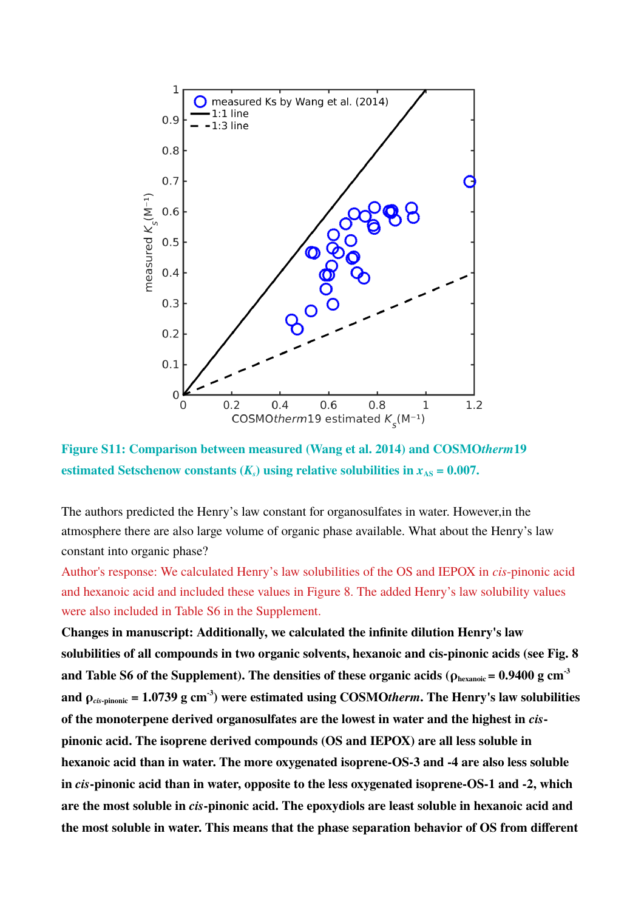

**Figure S11: Comparison between measured (Wang et al. 2014) and COSMO***therm***19**  estimated Setschenow constants  $(K_s)$  using relative solubilities in  $x_{AS} = 0.007$ .

The authors predicted the Henry's law constant for organosulfates in water. However,in the atmosphere there are also large volume of organic phase available. What about the Henry's law constant into organic phase?

Author's response: We calculated Henry's law solubilities of the OS and IEPOX in *cis*-pinonic acid and hexanoic acid and included these values in Figure 8. The added Henry's law solubility values were also included in Table S6 in the Supplement.

**Changes in manuscript: Additionally, we calculated the infinite dilution Henry's law solubilities of all compounds in two organic solvents, hexanoic and cis-pinonic acids (see Fig. 8**  and Table S6 of the Supplement). The densities of these organic acids ( $\rho_{\text{hexanotic}} = 0.9400 \text{ g cm}^{-3}$ and  $\rho_{\text{cis-pinonic}} = 1.0739 \text{ g cm}^{-3}$  were estimated using COSMOtherm. The Henry's law solubilities **of the monoterpene derived organosulfates are the lowest in water and the highest in** *cis***pinonic acid. The isoprene derived compounds (OS and IEPOX) are all less soluble in hexanoic acid than in water. The more oxygenated isoprene-OS-3 and -4 are also less soluble in** *cis***-pinonic acid than in water, opposite to the less oxygenated isoprene-OS-1 and -2, which are the most soluble in** *cis***-pinonic acid. The epoxydiols are least soluble in hexanoic acid and the most soluble in water. This means that the phase separation behavior of OS from different**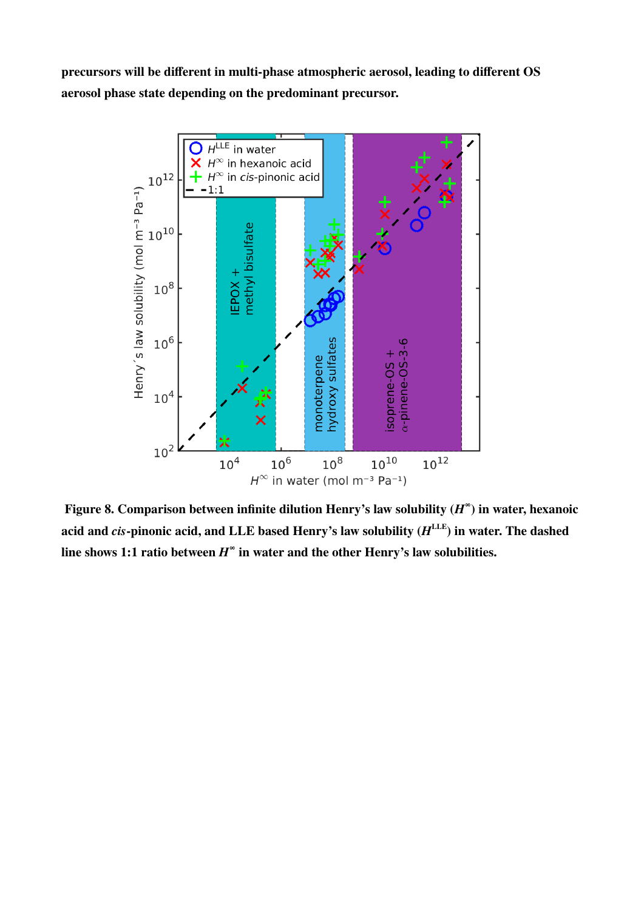**precursors will be different in multi-phase atmospheric aerosol, leading to different OS aerosol phase state depending on the predominant precursor.**



 **Figure 8. Comparison between infinite dilution Henry's law solubility**  $(H^{\infty})$  **in water, hexanoic** acid and *cis-*pinonic acid, and LLE based Henry's law solubility  $(H^{\text{LLE}})$  in water. The dashed line shows 1:1 ratio between  $H^{\infty}$  in water and the other Henry's law solubilities.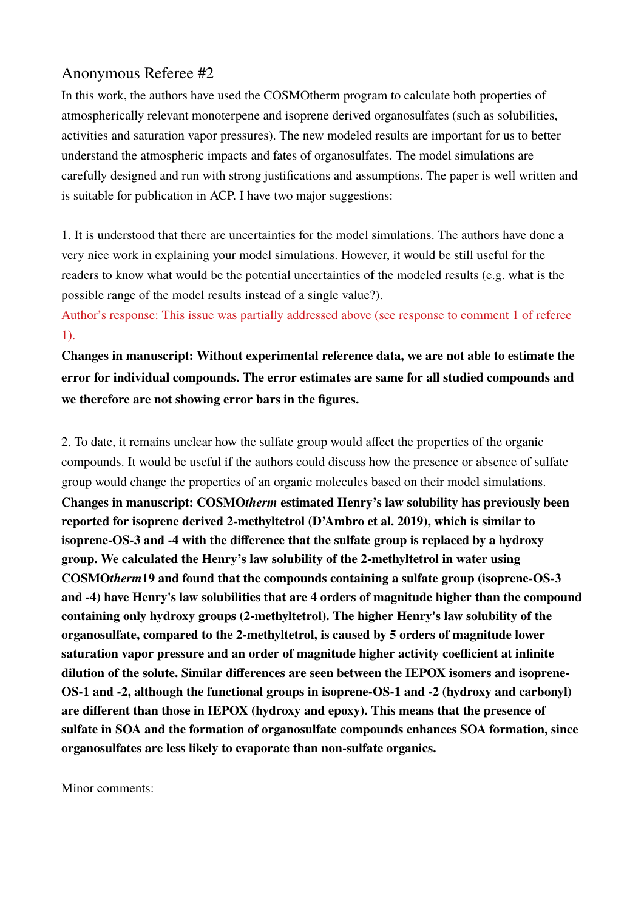# Anonymous Referee #2

In this work, the authors have used the COSMOtherm program to calculate both properties of atmospherically relevant monoterpene and isoprene derived organosulfates (such as solubilities, activities and saturation vapor pressures). The new modeled results are important for us to better understand the atmospheric impacts and fates of organosulfates. The model simulations are carefully designed and run with strong justifications and assumptions. The paper is well written and is suitable for publication in ACP. I have two major suggestions:

1. It is understood that there are uncertainties for the model simulations. The authors have done a very nice work in explaining your model simulations. However, it would be still useful for the readers to know what would be the potential uncertainties of the modeled results (e.g. what is the possible range of the model results instead of a single value?).

Author's response: This issue was partially addressed above (see response to comment 1 of referee 1).

**Changes in manuscript: Without experimental reference data, we are not able to estimate the error for individual compounds. The error estimates are same for all studied compounds and we therefore are not showing error bars in the figures.** 

2. To date, it remains unclear how the sulfate group would affect the properties of the organic compounds. It would be useful if the authors could discuss how the presence or absence of sulfate group would change the properties of an organic molecules based on their model simulations. **Changes in manuscript: COSMO***therm* **estimated Henry's law solubility has previously been reported for isoprene derived 2-methyltetrol (D'Ambro et al. 2019), which is similar to isoprene-OS-3 and -4 with the difference that the sulfate group is replaced by a hydroxy group. We calculated the Henry's law solubility of the 2-methyltetrol in water using COSMO***therm***19 and found that the compounds containing a sulfate group (isoprene-OS-3 and -4) have Henry's law solubilities that are 4 orders of magnitude higher than the compound containing only hydroxy groups (2-methyltetrol). The higher Henry's law solubility of the organosulfate, compared to the 2-methyltetrol, is caused by 5 orders of magnitude lower saturation vapor pressure and an order of magnitude higher activity coefficient at infinite dilution of the solute. Similar differences are seen between the IEPOX isomers and isoprene-OS-1 and -2, although the functional groups in isoprene-OS-1 and -2 (hydroxy and carbonyl) are different than those in IEPOX (hydroxy and epoxy). This means that the presence of sulfate in SOA and the formation of organosulfate compounds enhances SOA formation, since organosulfates are less likely to evaporate than non-sulfate organics.** 

Minor comments: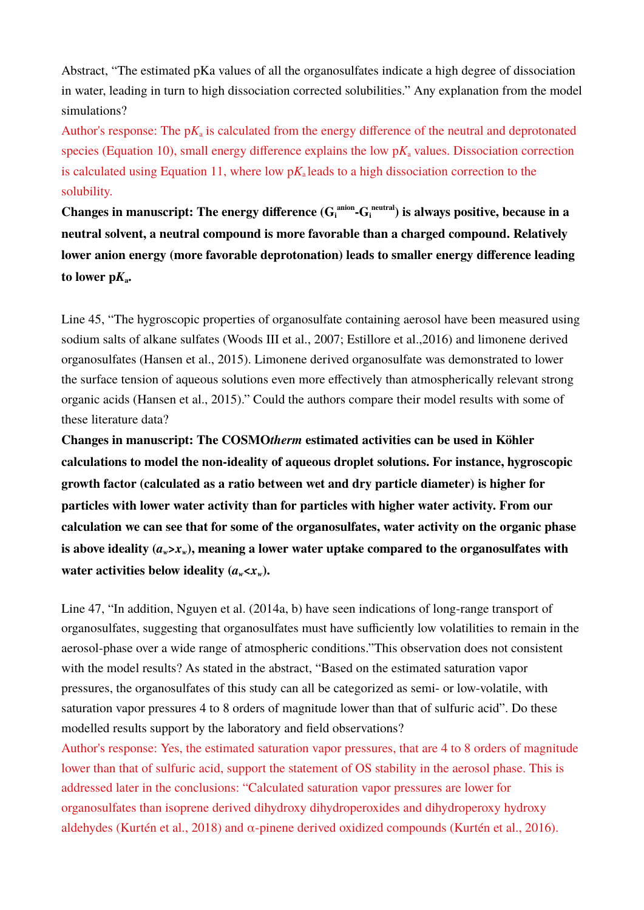Abstract, "The estimated pKa values of all the organosulfates indicate a high degree of dissociation in water, leading in turn to high dissociation corrected solubilities." Any explanation from the model simulations?

Author's response: The  $pK_a$  is calculated from the energy difference of the neutral and deprotonated species (Equation 10), small energy difference explains the low  $pK_a$  values. Dissociation correction is calculated using Equation 11, where low  $pK_a$  leads to a high dissociation correction to the solubility.

Changes in manuscript: The energy difference  $(G_i^{\text{anion}}\text{-}G_i^{\text{neutral}})$  is always positive, because in a **neutral solvent, a neutral compound is more favorable than a charged compound. Relatively lower anion energy (more favorable deprotonation) leads to smaller energy difference leading**  to lower  $pK_a$ .

Line 45, "The hygroscopic properties of organosulfate containing aerosol have been measured using sodium salts of alkane sulfates (Woods III et al., 2007; Estillore et al.,2016) and limonene derived organosulfates (Hansen et al., 2015). Limonene derived organosulfate was demonstrated to lower the surface tension of aqueous solutions even more effectively than atmospherically relevant strong organic acids (Hansen et al., 2015)." Could the authors compare their model results with some of these literature data?

**Changes in manuscript: The COSMO***therm* **estimated activities can be used in Köhler calculations to model the non-ideality of aqueous droplet solutions. For instance, hygroscopic growth factor (calculated as a ratio between wet and dry particle diameter) is higher for particles with lower water activity than for particles with higher water activity. From our calculation we can see that for some of the organosulfates, water activity on the organic phase**  is above ideality  $(a<sub>w</sub> > x<sub>w</sub>)$ , meaning a lower water uptake compared to the organosulfates with water activities below ideality  $(a_w < x_w)$ .

Line 47, "In addition, Nguyen et al. (2014a, b) have seen indications of long-range transport of organosulfates, suggesting that organosulfates must have sufficiently low volatilities to remain in the aerosol-phase over a wide range of atmospheric conditions."This observation does not consistent with the model results? As stated in the abstract, "Based on the estimated saturation vapor pressures, the organosulfates of this study can all be categorized as semi- or low-volatile, with saturation vapor pressures 4 to 8 orders of magnitude lower than that of sulfuric acid". Do these modelled results support by the laboratory and field observations?

Author's response: Yes, the estimated saturation vapor pressures, that are 4 to 8 orders of magnitude lower than that of sulfuric acid, support the statement of OS stability in the aerosol phase. This is addressed later in the conclusions: "Calculated saturation vapor pressures are lower for organosulfates than isoprene derived dihydroxy dihydroperoxides and dihydroperoxy hydroxy aldehydes (Kurtén et al., 2018) and  $\alpha$ -pinene derived oxidized compounds (Kurtén et al., 2016).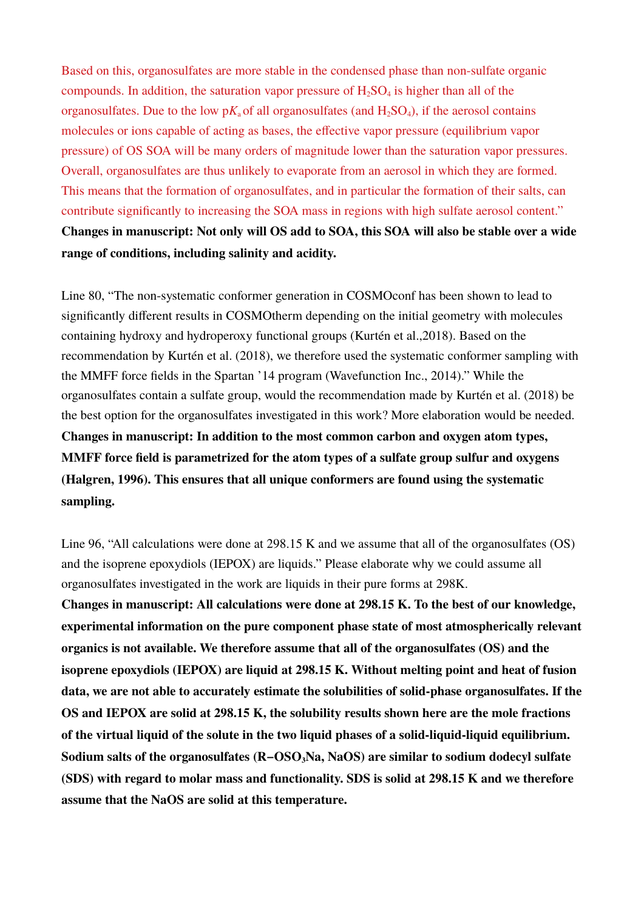Based on this, organosulfates are more stable in the condensed phase than non-sulfate organic compounds. In addition, the saturation vapor pressure of  $H_2SO_4$  is higher than all of the organosulfates. Due to the low  $pK_a$  of all organosulfates (and  $H_2SO_4$ ), if the aerosol contains molecules or ions capable of acting as bases, the effective vapor pressure (equilibrium vapor pressure) of OS SOA will be many orders of magnitude lower than the saturation vapor pressures. Overall, organosulfates are thus unlikely to evaporate from an aerosol in which they are formed. This means that the formation of organosulfates, and in particular the formation of their salts, can contribute significantly to increasing the SOA mass in regions with high sulfate aerosol content." **Changes in manuscript: Not only will OS add to SOA, this SOA will also be stable over a wide range of conditions, including salinity and acidity.**

Line 80, "The non-systematic conformer generation in COSMOconf has been shown to lead to significantly different results in COSMOtherm depending on the initial geometry with molecules containing hydroxy and hydroperoxy functional groups (Kurtén et al.,2018). Based on the recommendation by Kurtén et al. (2018), we therefore used the systematic conformer sampling with the MMFF force fields in the Spartan '14 program (Wavefunction Inc., 2014)." While the organosulfates contain a sulfate group, would the recommendation made by Kurtén et al. (2018) be the best option for the organosulfates investigated in this work? More elaboration would be needed. **Changes in manuscript: In addition to the most common carbon and oxygen atom types, MMFF force field is parametrized for the atom types of a sulfate group sulfur and oxygens (Halgren, 1996). This ensures that all unique conformers are found using the systematic sampling.**

Line 96, "All calculations were done at 298.15 K and we assume that all of the organosulfates (OS) and the isoprene epoxydiols (IEPOX) are liquids." Please elaborate why we could assume all organosulfates investigated in the work are liquids in their pure forms at 298K. **Changes in manuscript: All calculations were done at 298.15 K. To the best of our knowledge, experimental information on the pure component phase state of most atmospherically relevant organics is not available. We therefore assume that all of the organosulfates (OS) and the isoprene epoxydiols (IEPOX) are liquid at 298.15 K. Without melting point and heat of fusion data, we are not able to accurately estimate the solubilities of solid-phase organosulfates. If the OS and IEPOX are solid at 298.15 K, the solubility results shown here are the mole fractions of the virtual liquid of the solute in the two liquid phases of a solid-liquid-liquid equilibrium. Sodium salts of the organosulfates (R−OSO3Na, NaOS) are similar to sodium dodecyl sulfate (SDS) with regard to molar mass and functionality. SDS is solid at 298.15 K and we therefore assume that the NaOS are solid at this temperature.**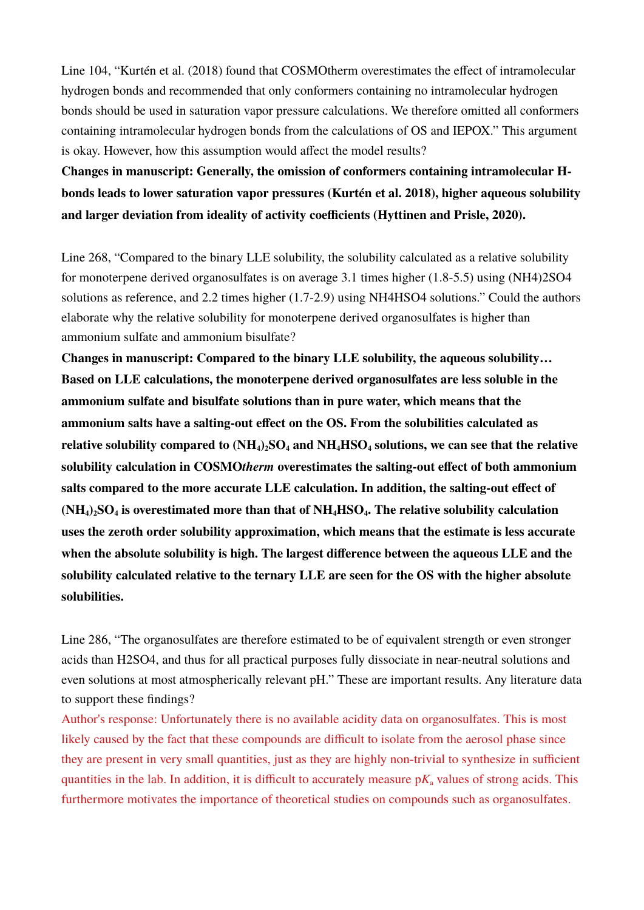Line 104, "Kurtén et al. (2018) found that COSMOtherm overestimates the effect of intramolecular hydrogen bonds and recommended that only conformers containing no intramolecular hydrogen bonds should be used in saturation vapor pressure calculations. We therefore omitted all conformers containing intramolecular hydrogen bonds from the calculations of OS and IEPOX." This argument is okay. However, how this assumption would affect the model results?

**Changes in manuscript: Generally, the omission of conformers containing intramolecular Hbonds leads to lower saturation vapor pressures (Kurtén et al. 2018), higher aqueous solubility and larger deviation from ideality of activity coefficients (Hyttinen and Prisle, 2020).**

Line 268, "Compared to the binary LLE solubility, the solubility calculated as a relative solubility for monoterpene derived organosulfates is on average 3.1 times higher (1.8-5.5) using (NH4)2SO4 solutions as reference, and 2.2 times higher (1.7-2.9) using NH4HSO4 solutions." Could the authors elaborate why the relative solubility for monoterpene derived organosulfates is higher than ammonium sulfate and ammonium bisulfate?

**Changes in manuscript: Compared to the binary LLE solubility, the aqueous solubility… Based on LLE calculations, the monoterpene derived organosulfates are less soluble in the ammonium sulfate and bisulfate solutions than in pure water, which means that the ammonium salts have a salting-out effect on the OS. From the solubilities calculated as relative solubility compared to (NH4)2SO4 and NH4HSO4 solutions, we can see that the relative solubility calculation in COSMO***therm* **overestimates the salting-out effect of both ammonium salts compared to the more accurate LLE calculation. In addition, the salting-out effect of (NH4)2SO4 is overestimated more than that of NH4HSO4. The relative solubility calculation uses the zeroth order solubility approximation, which means that the estimate is less accurate when the absolute solubility is high. The largest difference between the aqueous LLE and the solubility calculated relative to the ternary LLE are seen for the OS with the higher absolute solubilities.**

Line 286, "The organosulfates are therefore estimated to be of equivalent strength or even stronger acids than H2SO4, and thus for all practical purposes fully dissociate in near-neutral solutions and even solutions at most atmospherically relevant pH." These are important results. Any literature data to support these findings?

Author's response: Unfortunately there is no available acidity data on organosulfates. This is most likely caused by the fact that these compounds are difficult to isolate from the aerosol phase since they are present in very small quantities, just as they are highly non-trivial to synthesize in sufficient quantities in the lab. In addition, it is difficult to accurately measure  $pK_a$  values of strong acids. This furthermore motivates the importance of theoretical studies on compounds such as organosulfates.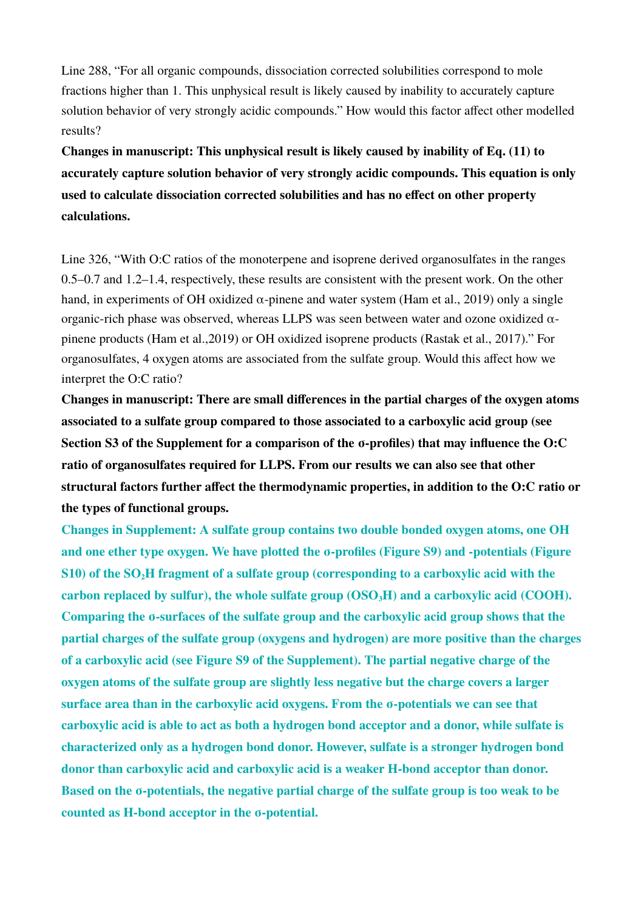Line 288, "For all organic compounds, dissociation corrected solubilities correspond to mole fractions higher than 1. This unphysical result is likely caused by inability to accurately capture solution behavior of very strongly acidic compounds." How would this factor affect other modelled results?

**Changes in manuscript: This unphysical result is likely caused by inability of Eq. (11) to accurately capture solution behavior of very strongly acidic compounds. This equation is only used to calculate dissociation corrected solubilities and has no effect on other property calculations.**

Line 326, "With O:C ratios of the monoterpene and isoprene derived organosulfates in the ranges 0.5–0.7 and 1.2–1.4, respectively, these results are consistent with the present work. On the other hand, in experiments of OH oxidized  $\alpha$ -pinene and water system (Ham et al., 2019) only a single organic-rich phase was observed, whereas LLPS was seen between water and ozone oxidized  $\alpha$ pinene products (Ham et al.,2019) or OH oxidized isoprene products (Rastak et al., 2017)." For organosulfates, 4 oxygen atoms are associated from the sulfate group. Would this affect how we interpret the O:C ratio?

**Changes in manuscript: There are small differences in the partial charges of the oxygen atoms associated to a sulfate group compared to those associated to a carboxylic acid group (see Section S3 of the Supplement for a comparison of the σ-profiles) that may influence the O:C ratio of organosulfates required for LLPS. From our results we can also see that other structural factors further affect the thermodynamic properties, in addition to the O:C ratio or the types of functional groups.**

**Changes in Supplement: A sulfate group contains two double bonded oxygen atoms, one OH and one ether type oxygen. We have plotted the σ-profiles (Figure S9) and -potentials (Figure S10) of the SO2H fragment of a sulfate group (corresponding to a carboxylic acid with the carbon replaced by sulfur), the whole sulfate group (OSO3H) and a carboxylic acid (COOH). Comparing the σ-surfaces of the sulfate group and the carboxylic acid group shows that the partial charges of the sulfate group (oxygens and hydrogen) are more positive than the charges of a carboxylic acid (see Figure S9 of the Supplement). The partial negative charge of the oxygen atoms of the sulfate group are slightly less negative but the charge covers a larger surface area than in the carboxylic acid oxygens. From the σ-potentials we can see that carboxylic acid is able to act as both a hydrogen bond acceptor and a donor, while sulfate is characterized only as a hydrogen bond donor. However, sulfate is a stronger hydrogen bond donor than carboxylic acid and carboxylic acid is a weaker H-bond acceptor than donor. Based on the σ-potentials, the negative partial charge of the sulfate group is too weak to be counted as H-bond acceptor in the σ-potential.**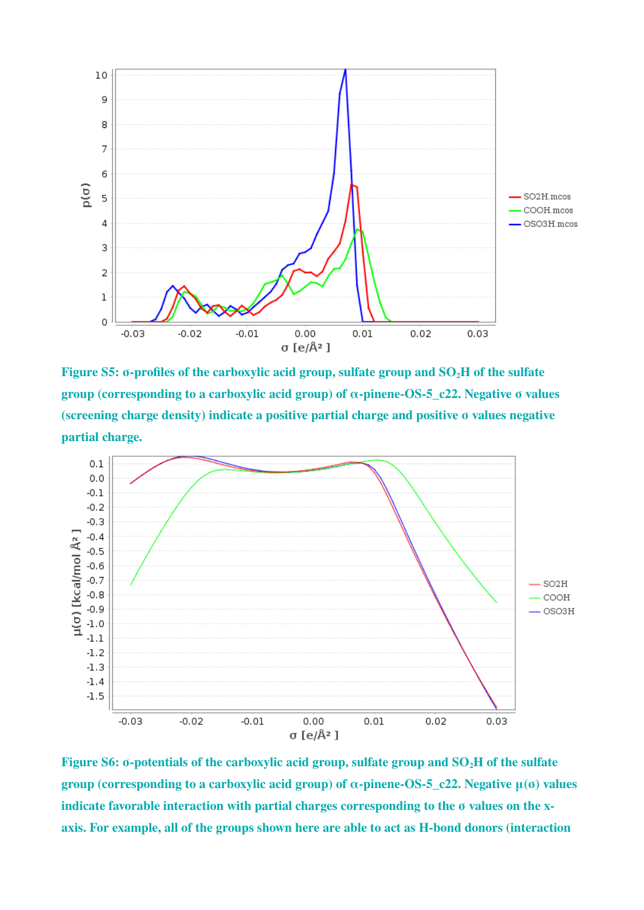

**Figure S5: σ-profiles of the carboxylic acid group, sulfate group and SO2H of the sulfate group (corresponding to a carboxylic acid group) of α-pinene-OS-5\_c22. Negative σ values (screening charge density) indicate a positive partial charge and positive σ values negative partial charge.**



**Figure S6: σ-potentials of the carboxylic acid group, sulfate group and SO2H of the sulfate group (corresponding to a carboxylic acid group) of α-pinene-OS-5\_c22. Negative μ(σ) values indicate favorable interaction with partial charges corresponding to the σ values on the xaxis. For example, all of the groups shown here are able to act as H-bond donors (interaction**